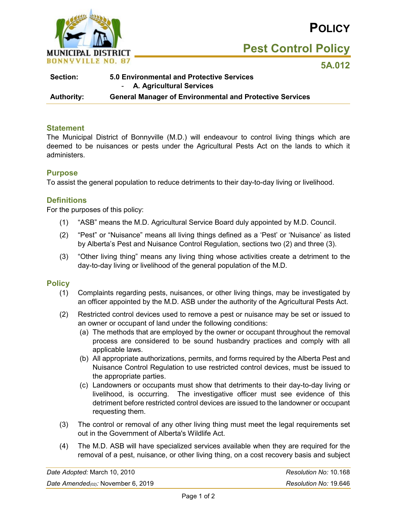

**Pest Control Policy**

**5A.012** 

| <b>5.0 Environmental and Protective Services</b>                |
|-----------------------------------------------------------------|
| - A. Agricultural Services                                      |
| <b>General Manager of Environmental and Protective Services</b> |
|                                                                 |

### **Statement**

The Municipal District of Bonnyville (M.D.) will endeavour to control living things which are deemed to be nuisances or pests under the Agricultural Pests Act on the lands to which it administers.

### **Purpose**

To assist the general population to reduce detriments to their day-to-day living or livelihood.

### **Definitions**

For the purposes of this policy:

- (1) "ASB" means the M.D. Agricultural Service Board duly appointed by M.D. Council.
- (2) "Pest" or "Nuisance" means all living things defined as a 'Pest' or 'Nuisance' as listed by Alberta's Pest and Nuisance Control Regulation, sections two (2) and three (3).
- (3) "Other living thing" means any living thing whose activities create a detriment to the day-to-day living or livelihood of the general population of the M.D.

### **Policy**

- (1) Complaints regarding pests, nuisances, or other living things, may be investigated by an officer appointed by the M.D. ASB under the authority of the Agricultural Pests Act.
- (2) Restricted control devices used to remove a pest or nuisance may be set or issued to an owner or occupant of land under the following conditions:
	- (a) The methods that are employed by the owner or occupant throughout the removal process are considered to be sound husbandry practices and comply with all applicable laws.
	- (b) All appropriate authorizations, permits, and forms required by the Alberta Pest and Nuisance Control Regulation to use restricted control devices, must be issued to the appropriate parties.
	- (c) Landowners or occupants must show that detriments to their day-to-day living or livelihood, is occurring. The investigative officer must see evidence of this detriment before restricted control devices are issued to the landowner or occupant requesting them.
- (3) The control or removal of any other living thing must meet the legal requirements set out in the Government of Alberta's Wildlife Act.
- (4) The M.D. ASB will have specialized services available when they are required for the removal of a pest, nuisance, or other living thing, on a cost recovery basis and subject

| Date Adopted: March 10, 2010       | Resolution No: 10.168 |
|------------------------------------|-----------------------|
| Date Amended(02): November 6, 2019 | Resolution No: 19.646 |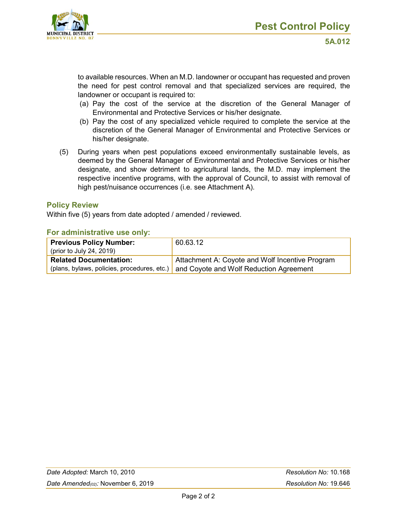

to available resources. When an M.D. landowner or occupant has requested and proven the need for pest control removal and that specialized services are required, the landowner or occupant is required to:

- (a) Pay the cost of the service at the discretion of the General Manager of Environmental and Protective Services or his/her designate.
- (b) Pay the cost of any specialized vehicle required to complete the service at the discretion of the General Manager of Environmental and Protective Services or his/her designate.
- (5) During years when pest populations exceed environmentally sustainable levels, as deemed by the General Manager of Environmental and Protective Services or his/her designate, and show detriment to agricultural lands, the M.D. may implement the respective incentive programs, with the approval of Council, to assist with removal of high pest/nuisance occurrences (i.e. see Attachment A).

#### **Policy Review**

Within five (5) years from date adopted / amended / reviewed.

#### **For administrative use only:**

| <b>Previous Policy Number:</b> | 60.63.12                                                                             |
|--------------------------------|--------------------------------------------------------------------------------------|
| (prior to July 24, 2019)       |                                                                                      |
| <b>Related Documentation:</b>  | Attachment A: Coyote and Wolf Incentive Program                                      |
|                                | (plans, bylaws, policies, procedures, etc.) Land Coyote and Wolf Reduction Agreement |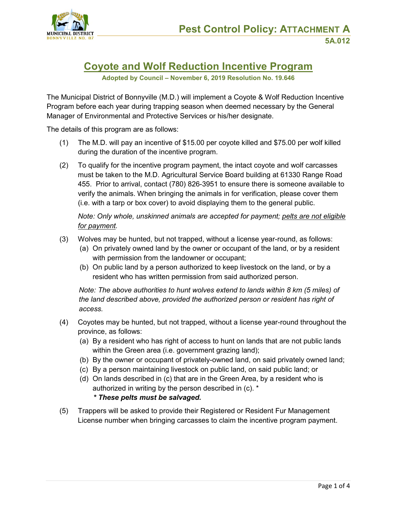



# **Coyote and Wolf Reduction Incentive Program**

**Adopted by Council – November 6, 2019 Resolution No. 19.646**

The Municipal District of Bonnyville (M.D.) will implement a Coyote & Wolf Reduction Incentive Program before each year during trapping season when deemed necessary by the General Manager of Environmental and Protective Services or his/her designate.

The details of this program are as follows:

- (1) The M.D. will pay an incentive of \$15.00 per coyote killed and \$75.00 per wolf killed during the duration of the incentive program.
- (2) To qualify for the incentive program payment, the intact coyote and wolf carcasses must be taken to the M.D. Agricultural Service Board building at 61330 Range Road 455. Prior to arrival, contact (780) 826-3951 to ensure there is someone available to verify the animals. When bringing the animals in for verification, please cover them (i.e. with a tarp or box cover) to avoid displaying them to the general public.

*Note: Only whole, unskinned animals are accepted for payment; pelts are not eligible for payment.*

- (3) Wolves may be hunted, but not trapped, without a license year-round, as follows:
	- (a) On privately owned land by the owner or occupant of the land, or by a resident with permission from the landowner or occupant;
	- (b) On public land by a person authorized to keep livestock on the land, or by a resident who has written permission from said authorized person.

*Note: The above authorities to hunt wolves extend to lands within 8 km (5 miles) of the land described above, provided the authorized person or resident has right of access.*

- (4) Coyotes may be hunted, but not trapped, without a license year-round throughout the province, as follows:
	- (a) By a resident who has right of access to hunt on lands that are not public lands within the Green area (i.e. government grazing land);
	- (b) By the owner or occupant of privately-owned land, on said privately owned land;
	- (c) By a person maintaining livestock on public land, on said public land; or
	- (d) On lands described in (c) that are in the Green Area, by a resident who is authorized in writing by the person described in (c). \*

#### *\* These pelts must be salvaged.*

(5) Trappers will be asked to provide their Registered or Resident Fur Management License number when bringing carcasses to claim the incentive program payment.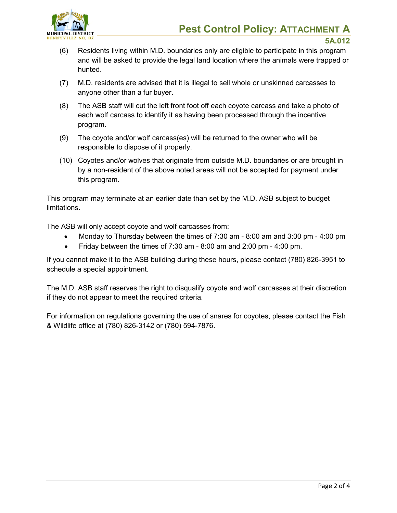

**5A.012**

- (6) Residents living within M.D. boundaries only are eligible to participate in this program and will be asked to provide the legal land location where the animals were trapped or hunted.
- (7) M.D. residents are advised that it is illegal to sell whole or unskinned carcasses to anyone other than a fur buyer.
- (8) The ASB staff will cut the left front foot off each coyote carcass and take a photo of each wolf carcass to identify it as having been processed through the incentive program.
- (9) The coyote and/or wolf carcass(es) will be returned to the owner who will be responsible to dispose of it properly.
- (10) Coyotes and/or wolves that originate from outside M.D. boundaries or are brought in by a non-resident of the above noted areas will not be accepted for payment under this program.

This program may terminate at an earlier date than set by the M.D. ASB subject to budget limitations.

The ASB will only accept coyote and wolf carcasses from:

- Monday to Thursday between the times of 7:30 am 8:00 am and 3:00 pm 4:00 pm
- Friday between the times of 7:30 am 8:00 am and 2:00 pm 4:00 pm.

If you cannot make it to the ASB building during these hours, please contact (780) 826-3951 to schedule a special appointment.

The M.D. ASB staff reserves the right to disqualify coyote and wolf carcasses at their discretion if they do not appear to meet the required criteria.

For information on regulations governing the use of snares for coyotes, please contact the Fish & Wildlife office at (780) 826-3142 or (780) 594-7876.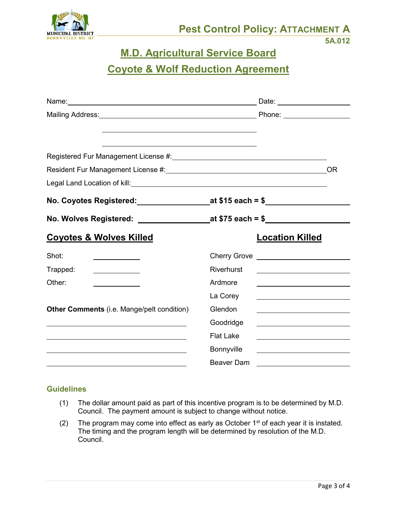

## **M.D. Agricultural Service Board**

# **Coyote & Wolf Reduction Agreement**

| Mailing Address: <u>New York: Nicolas Address:</u> National Phone: New York: New York: New York: New York: New York: N |                                            |                                                             |
|------------------------------------------------------------------------------------------------------------------------|--------------------------------------------|-------------------------------------------------------------|
|                                                                                                                        |                                            |                                                             |
|                                                                                                                        |                                            | <b>OR</b>                                                   |
|                                                                                                                        |                                            |                                                             |
|                                                                                                                        |                                            |                                                             |
| No. Wolves Registered: _______________                                                                                 |                                            |                                                             |
| <b>Coyotes &amp; Wolves Killed</b>                                                                                     | <b>Location Killed</b>                     |                                                             |
| Shot:<br><u> 1990 - Johann Barbara, martin a</u>                                                                       | Cherry Grove _____________________________ |                                                             |
| Trapped:<br><u> 1980 - John Barn Barn, amerikansk politiker</u>                                                        | <b>Riverhurst</b>                          |                                                             |
| Other:<br><u> 1989 - Johann Barbara, martin a</u>                                                                      | Ardmore                                    | <u> 1989 - Johann Stoff, Amerikaansk politiker (* 1908)</u> |
|                                                                                                                        | La Corey                                   |                                                             |
| Other Comments (i.e. Mange/pelt condition)                                                                             | Glendon                                    |                                                             |
|                                                                                                                        | Goodridge                                  |                                                             |
|                                                                                                                        | <b>Flat Lake</b>                           |                                                             |
|                                                                                                                        | Bonnyville                                 |                                                             |
|                                                                                                                        | Beaver Dam                                 |                                                             |

### **Guidelines**

- (1) The dollar amount paid as part of this incentive program is to be determined by M.D. Council. The payment amount is subject to change without notice.
- (2) The program may come into effect as early as October  $1<sup>st</sup>$  of each year it is instated. The timing and the program length will be determined by resolution of the M.D. Council.